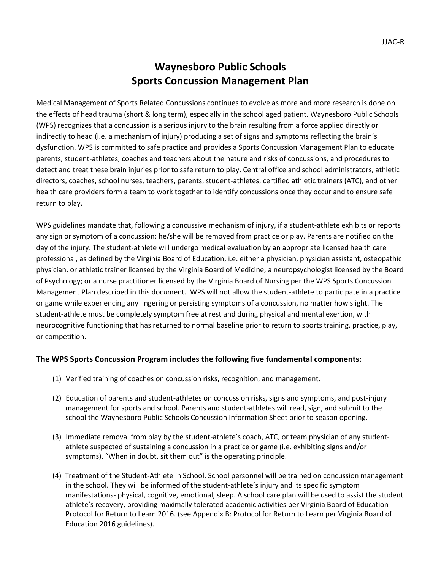# **Waynesboro Public Schools Sports Concussion Management Plan**

Medical Management of Sports Related Concussions continues to evolve as more and more research is done on the effects of head trauma (short & long term), especially in the school aged patient. Waynesboro Public Schools (WPS) recognizes that a concussion is a serious injury to the brain resulting from a force applied directly or indirectly to head (i.e. a mechanism of injury) producing a set of signs and symptoms reflecting the brain's dysfunction. WPS is committed to safe practice and provides a Sports Concussion Management Plan to educate parents, student-athletes, coaches and teachers about the nature and risks of concussions, and procedures to detect and treat these brain injuries prior to safe return to play. Central office and school administrators, athletic directors, coaches, school nurses, teachers, parents, student-athletes, certified athletic trainers (ATC), and other health care providers form a team to work together to identify concussions once they occur and to ensure safe return to play.

WPS guidelines mandate that, following a concussive mechanism of injury, if a student-athlete exhibits or reports any sign or symptom of a concussion; he/she will be removed from practice or play. Parents are notified on the day of the injury. The student-athlete will undergo medical evaluation by an appropriate licensed health care professional, as defined by the Virginia Board of Education, i.e. either a physician, physician assistant, osteopathic physician, or athletic trainer licensed by the Virginia Board of Medicine; a neuropsychologist licensed by the Board of Psychology; or a nurse practitioner licensed by the Virginia Board of Nursing per the WPS Sports Concussion Management Plan described in this document. WPS will not allow the student-athlete to participate in a practice or game while experiencing any lingering or persisting symptoms of a concussion, no matter how slight. The student-athlete must be completely symptom free at rest and during physical and mental exertion, with neurocognitive functioning that has returned to normal baseline prior to return to sports training, practice, play, or competition.

# **The WPS Sports Concussion Program includes the following five fundamental components:**

- (1) Verified training of coaches on concussion risks, recognition, and management.
- (2) Education of parents and student-athletes on concussion risks, signs and symptoms, and post-injury management for sports and school. Parents and student-athletes will read, sign, and submit to the school the Waynesboro Public Schools Concussion Information Sheet prior to season opening.
- (3) Immediate removal from play by the student-athlete's coach, ATC, or team physician of any studentathlete suspected of sustaining a concussion in a practice or game (i.e. exhibiting signs and/or symptoms). "When in doubt, sit them out" is the operating principle.
- (4) Treatment of the Student-Athlete in School. School personnel will be trained on concussion management in the school. They will be informed of the student-athlete's injury and its specific symptom manifestations- physical, cognitive, emotional, sleep. A school care plan will be used to assist the student athlete's recovery, providing maximally tolerated academic activities per Virginia Board of Education Protocol for Return to Learn 2016. (see Appendix B: Protocol for Return to Learn per Virginia Board of Education 2016 guidelines).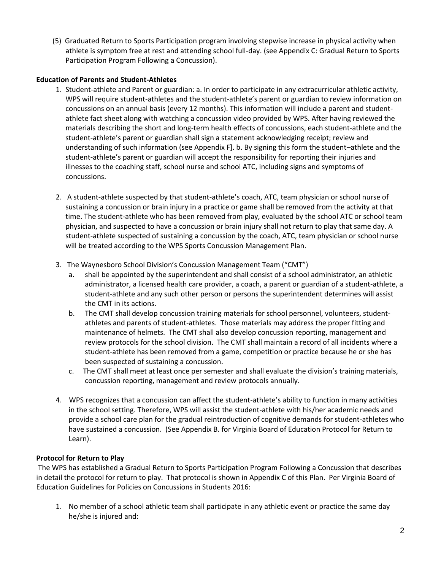(5) Graduated Return to Sports Participation program involving stepwise increase in physical activity when athlete is symptom free at rest and attending school full-day. (see Appendix C: Gradual Return to Sports Participation Program Following a Concussion).

# **Education of Parents and Student-Athletes**

- 1. Student-athlete and Parent or guardian: a. In order to participate in any extracurricular athletic activity, WPS will require student-athletes and the student-athlete's parent or guardian to review information on concussions on an annual basis (every 12 months). This information will include a parent and studentathlete fact sheet along with watching a concussion video provided by WPS. After having reviewed the materials describing the short and long-term health effects of concussions, each student-athlete and the student-athlete's parent or guardian shall sign a statement acknowledging receipt; review and understanding of such information (see Appendix F]. b. By signing this form the student–athlete and the student-athlete's parent or guardian will accept the responsibility for reporting their injuries and illnesses to the coaching staff, school nurse and school ATC, including signs and symptoms of concussions.
- 2. A student-athlete suspected by that student-athlete's coach, ATC, team physician or school nurse of sustaining a concussion or brain injury in a practice or game shall be removed from the activity at that time. The student-athlete who has been removed from play, evaluated by the school ATC or school team physician, and suspected to have a concussion or brain injury shall not return to play that same day. A student-athlete suspected of sustaining a concussion by the coach, ATC, team physician or school nurse will be treated according to the WPS Sports Concussion Management Plan.
- 3. The Waynesboro School Division's Concussion Management Team ("CMT")
	- a. shall be appointed by the superintendent and shall consist of a school administrator, an athletic administrator, a licensed health care provider, a coach, a parent or guardian of a student-athlete, a student-athlete and any such other person or persons the superintendent determines will assist the CMT in its actions.
	- b. The CMT shall develop concussion training materials for school personnel, volunteers, studentathletes and parents of student-athletes. Those materials may address the proper fitting and maintenance of helmets. The CMT shall also develop concussion reporting, management and review protocols for the school division. The CMT shall maintain a record of all incidents where a student-athlete has been removed from a game, competition or practice because he or she has been suspected of sustaining a concussion.
	- c. The CMT shall meet at least once per semester and shall evaluate the division's training materials, concussion reporting, management and review protocols annually.
- 4. WPS recognizes that a concussion can affect the student-athlete's ability to function in many activities in the school setting. Therefore, WPS will assist the student-athlete with his/her academic needs and provide a school care plan for the gradual reintroduction of cognitive demands for student-athletes who have sustained a concussion. (See Appendix B. for Virginia Board of Education Protocol for Return to Learn).

# **Protocol for Return to Play**

The WPS has established a Gradual Return to Sports Participation Program Following a Concussion that describes in detail the protocol for return to play. That protocol is shown in Appendix C of this Plan. Per Virginia Board of Education Guidelines for Policies on Concussions in Students 2016:

1. No member of a school athletic team shall participate in any athletic event or practice the same day he/she is injured and: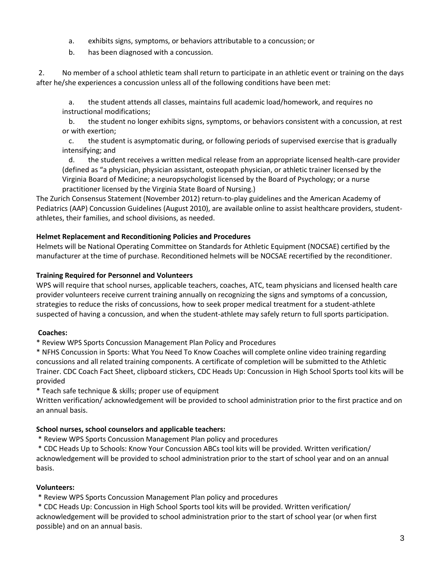- a. exhibits signs, symptoms, or behaviors attributable to a concussion; or
- b. has been diagnosed with a concussion.

2. No member of a school athletic team shall return to participate in an athletic event or training on the days after he/she experiences a concussion unless all of the following conditions have been met:

a. the student attends all classes, maintains full academic load/homework, and requires no instructional modifications;

b. the student no longer exhibits signs, symptoms, or behaviors consistent with a concussion, at rest or with exertion;

c. the student is asymptomatic during, or following periods of supervised exercise that is gradually intensifying; and

d. the student receives a written medical release from an appropriate licensed health-care provider (defined as "a physician, physician assistant, osteopath physician, or athletic trainer licensed by the Virginia Board of Medicine; a neuropsychologist licensed by the Board of Psychology; or a nurse practitioner licensed by the Virginia State Board of Nursing.)

The Zurich Consensus Statement (November 2012) return-to-play guidelines and the American Academy of Pediatrics (AAP) Concussion Guidelines (August 2010), are available online to assist healthcare providers, studentathletes, their families, and school divisions, as needed.

### **Helmet Replacement and Reconditioning Policies and Procedures**

Helmets will be National Operating Committee on Standards for Athletic Equipment (NOCSAE) certified by the manufacturer at the time of purchase. Reconditioned helmets will be NOCSAE recertified by the reconditioner.

### **Training Required for Personnel and Volunteers**

WPS will require that school nurses, applicable teachers, coaches, ATC, team physicians and licensed health care provider volunteers receive current training annually on recognizing the signs and symptoms of a concussion, strategies to reduce the risks of concussions, how to seek proper medical treatment for a student-athlete suspected of having a concussion, and when the student-athlete may safely return to full sports participation.

### **Coaches:**

\* Review WPS Sports Concussion Management Plan Policy and Procedures

\* NFHS Concussion in Sports: What You Need To Know Coaches will complete online video training regarding concussions and all related training components. A certificate of completion will be submitted to the Athletic Trainer. CDC Coach Fact Sheet, clipboard stickers, CDC Heads Up: Concussion in High School Sports tool kits will be provided

\* Teach safe technique & skills; proper use of equipment

Written verification/ acknowledgement will be provided to school administration prior to the first practice and on an annual basis.

# **School nurses, school counselors and applicable teachers:**

\* Review WPS Sports Concussion Management Plan policy and procedures

\* CDC Heads Up to Schools: Know Your Concussion ABCs tool kits will be provided. Written verification/ acknowledgement will be provided to school administration prior to the start of school year and on an annual basis.

# **Volunteers:**

\* Review WPS Sports Concussion Management Plan policy and procedures

\* CDC Heads Up: Concussion in High School Sports tool kits will be provided. Written verification/ acknowledgement will be provided to school administration prior to the start of school year (or when first possible) and on an annual basis.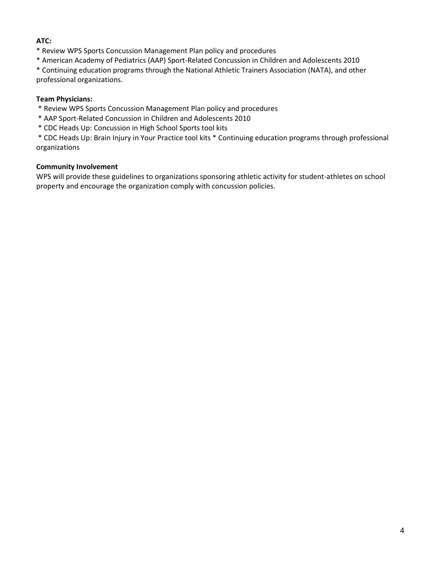# **ATC:**

\* Review WPS Sports Concussion Management Plan policy and procedures

\* American Academy of Pediatrics (AAP) Sport-Related Concussion in Children and Adolescents 2010

\* Continuing education programs through the National Athletic Trainers Association (NATA), and other professional organizations.

# **Team Physicians:**

- \* Review WPS Sports Concussion Management Plan policy and procedures
- \* AAP Sport-Related Concussion in Children and Adolescents 2010
- \* CDC Heads Up: Concussion in High School Sports tool kits

\* CDC Heads Up: Brain Injury in Your Practice tool kits \* Continuing education programs through professional organizations

# **Community Involvement**

WPS will provide these guidelines to organizations sponsoring athletic activity for student-athletes on school property and encourage the organization comply with concussion policies.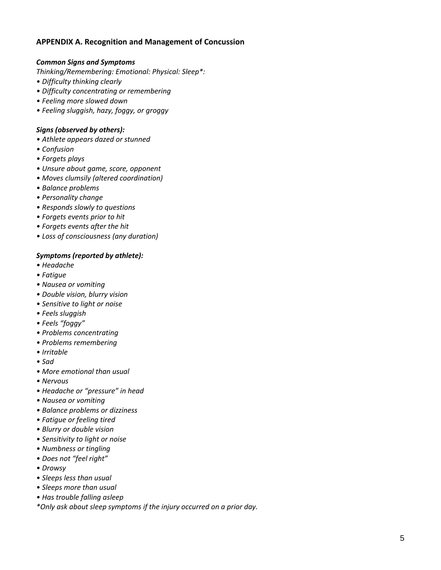# **APPENDIX A. Recognition and Management of Concussion**

### *Common Signs and Symptoms*

*Thinking/Remembering: Emotional: Physical: Sleep\*:*

- *Difficulty thinking clearly*
- *Difficulty concentrating or remembering*
- *Feeling more slowed down*
- *Feeling sluggish, hazy, foggy, or groggy*

### *Signs (observed by others):*

- *Athlete appears dazed or stunned*
- *Confusion*
- *Forgets plays*
- *Unsure about game, score, opponent*
- *Moves clumsily (altered coordination)*
- *Balance problems*
- *Personality chang e*
- *Responds slowly to questions*
- *Forgets events prior to hit*
- *Forgets events after the hit*
- *Loss of consciousness (any duration)*

### *Symptoms (reported by athlete):*

- *Headache*
- *Fatigue*
- *Nausea or vomiting*
- *Double vision, blurry vision*
- *Sensitive to light or noise*
- *Feels sluggish*
- *Feels "foggy"*
- *Problems concentrating*
- *Problems remembering*
- *Irritable*
- *Sad*
- *More emotional than usual*
- *Nervous*
- *Headache or "pressure" in head*
- *Nausea or vomiting*
- *Balance problems or dizziness*
- *Fatigue or feeling tired*
- *Blurry or double vision*
- *Sensitivity to light or noise*
- *Numbness or tingling*
- *Does not "feel right"*
- *Drowsy*
- *Sleeps less than usual*
- *Sleeps more than usual*
- *Has trouble falling asleep*

*\*Only ask about sleep symptoms if the injury occurred on a prior day.*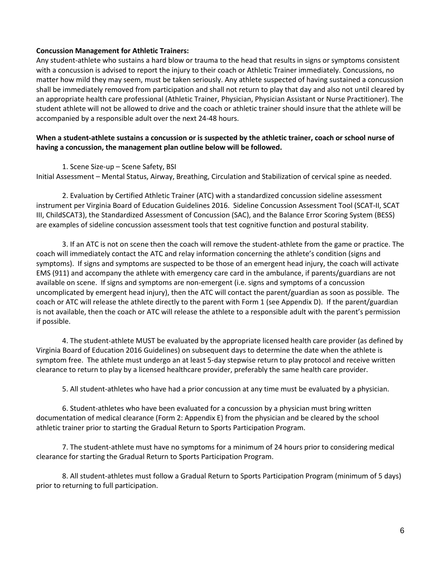### **Concussion Management for Athletic Trainers:**

Any student-athlete who sustains a hard blow or trauma to the head that results in signs or symptoms consistent with a concussion is advised to report the injury to their coach or Athletic Trainer immediately. Concussions, no matter how mild they may seem, must be taken seriously. Any athlete suspected of having sustained a concussion shall be immediately removed from participation and shall not return to play that day and also not until cleared by an appropriate health care professional (Athletic Trainer, Physician, Physician Assistant or Nurse Practitioner). The student athlete will not be allowed to drive and the coach or athletic trainer should insure that the athlete will be accompanied by a responsible adult over the next 24-48 hours.

### **When a student-athlete sustains a concussion or is suspected by the athletic trainer, coach or school nurse of having a concussion, the management plan outline below will be followed.**

### 1. Scene Size-up – Scene Safety, BSI

Initial Assessment – Mental Status, Airway, Breathing, Circulation and Stabilization of cervical spine as needed.

2. Evaluation by Certified Athletic Trainer (ATC) with a standardized concussion sideline assessment instrument per Virginia Board of Education Guidelines 2016. Sideline Concussion Assessment Tool (SCAT-II, SCAT III, ChildSCAT3), the Standardized Assessment of Concussion (SAC), and the Balance Error Scoring System (BESS) are examples of sideline concussion assessment tools that test cognitive function and postural stability.

3. If an ATC is not on scene then the coach will remove the student-athlete from the game or practice. The coach will immediately contact the ATC and relay information concerning the athlete's condition (signs and symptoms). If signs and symptoms are suspected to be those of an emergent head injury, the coach will activate EMS (911) and accompany the athlete with emergency care card in the ambulance, if parents/guardians are not available on scene. If signs and symptoms are non-emergent (i.e. signs and symptoms of a concussion uncomplicated by emergent head injury), then the ATC will contact the parent/guardian as soon as possible. The coach or ATC will release the athlete directly to the parent with Form 1 (see Appendix D). If the parent/guardian is not available, then the coach or ATC will release the athlete to a responsible adult with the parent's permission if possible.

4. The student-athlete MUST be evaluated by the appropriate licensed health care provider (as defined by Virginia Board of Education 2016 Guidelines) on subsequent days to determine the date when the athlete is symptom free. The athlete must undergo an at least 5-day stepwise return to play protocol and receive written clearance to return to play by a licensed healthcare provider, preferably the same health care provider.

5. All student-athletes who have had a prior concussion at any time must be evaluated by a physician.

6. Student-athletes who have been evaluated for a concussion by a physician must bring written documentation of medical clearance (Form 2: Appendix E) from the physician and be cleared by the school athletic trainer prior to starting the Gradual Return to Sports Participation Program.

7. The student-athlete must have no symptoms for a minimum of 24 hours prior to considering medical clearance for starting the Gradual Return to Sports Participation Program.

8. All student-athletes must follow a Gradual Return to Sports Participation Program (minimum of 5 days) prior to returning to full participation.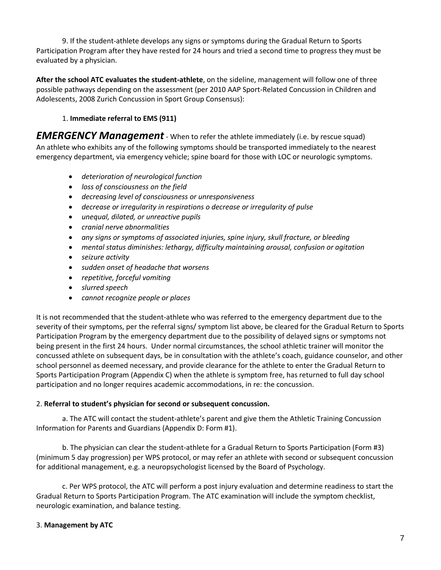9. If the student-athlete develops any signs or symptoms during the Gradual Return to Sports Participation Program after they have rested for 24 hours and tried a second time to progress they must be evaluated by a physician.

**After the school ATC evaluates the student-athlete**, on the sideline, management will follow one of three possible pathways depending on the assessment (per 2010 AAP Sport-Related Concussion in Children and Adolescents, 2008 Zurich Concussion in Sport Group Consensus):

# 1. **Immediate referral to EMS (911)**

*EMERGENCY Management*- When to refer the athlete immediately (i.e. by rescue squad) An athlete who exhibits any of the following symptoms should be transported immediately to the nearest emergency department, via emergency vehicle; spine board for those with LOC or neurologic symptoms.

- *deterioration of neurological function*
- *loss of consciousness on the field*
- *decreasing level of consciousness or unresponsiveness*
- *decrease or irregularity in respirations o decrease or irregularity of pulse*
- *unequal, dilated, or unreactive pupils*
- *cranial nerve abnormalities*
- *any signs or symptoms of associated injuries, spine injury, skull fracture, or bleeding*
- *mental status diminishes: lethargy, difficulty maintaining arousal, confusion or agitation*
- *seizure activity*
- *sudden onset of headache that worsens*
- *repetitive, forceful vomiting*
- *slurred speech*
- *cannot recognize people or places*

It is not recommended that the student-athlete who was referred to the emergency department due to the severity of their symptoms, per the referral signs/ symptom list above, be cleared for the Gradual Return to Sports Participation Program by the emergency department due to the possibility of delayed signs or symptoms not being present in the first 24 hours. Under normal circumstances, the school athletic trainer will monitor the concussed athlete on subsequent days, be in consultation with the athlete's coach, guidance counselor, and other school personnel as deemed necessary, and provide clearance for the athlete to enter the Gradual Return to Sports Participation Program (Appendix C) when the athlete is symptom free, has returned to full day school participation and no longer requires academic accommodations, in re: the concussion.

# 2. **Referral to student's physician for second or subsequent concussion.**

a. The ATC will contact the student-athlete's parent and give them the Athletic Training Concussion Information for Parents and Guardians (Appendix D: Form #1).

b. The physician can clear the student-athlete for a Gradual Return to Sports Participation (Form #3) (minimum 5 day progression) per WPS protocol, or may refer an athlete with second or subsequent concussion for additional management, e.g. a neuropsychologist licensed by the Board of Psychology.

c. Per WPS protocol, the ATC will perform a post injury evaluation and determine readiness to start the Gradual Return to Sports Participation Program. The ATC examination will include the symptom checklist, neurologic examination, and balance testing.

# 3. **Management by ATC**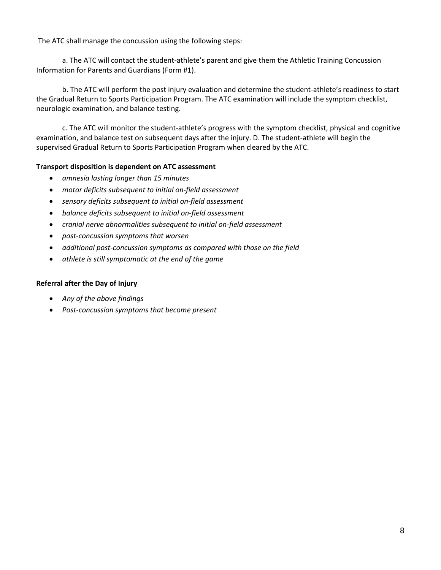The ATC shall manage the concussion using the following steps:

a. The ATC will contact the student-athlete's parent and give them the Athletic Training Concussion Information for Parents and Guardians (Form #1).

b. The ATC will perform the post injury evaluation and determine the student-athlete's readiness to start the Gradual Return to Sports Participation Program. The ATC examination will include the symptom checklist, neurologic examination, and balance testing.

c. The ATC will monitor the student-athlete's progress with the symptom checklist, physical and cognitive examination, and balance test on subsequent days after the injury. D. The student-athlete will begin the supervised Gradual Return to Sports Participation Program when cleared by the ATC.

### **Transport disposition is dependent on ATC assessment**

- *amnesia lasting longer than 15 minutes*
- *motor deficits subsequent to initial on-field assessment*
- *sensory deficits subsequent to initial on-field assessment*
- *balance deficits subsequent to initial on-field assessment*
- *cranial nerve abnormalities subsequent to initial on-field assessment*
- *post-concussion symptoms that worsen*
- *additional post-concussion symptoms as compared with those on the field*
- *athlete is still symptomatic at the end of the game*

### **Referral after the Day of Injury**

- *Any of the above findings*
- *Post-concussion symptoms that become present*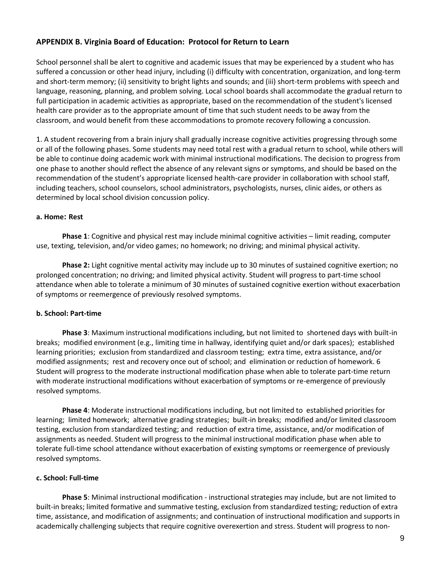# **APPENDIX B. Virginia Board of Education: Protocol for Return to Learn**

School personnel shall be alert to cognitive and academic issues that may be experienced by a student who has suffered a concussion or other head injury, including (i) difficulty with concentration, organization, and long-term and short-term memory; (ii) sensitivity to bright lights and sounds; and (iii) short-term problems with speech and language, reasoning, planning, and problem solving. Local school boards shall accommodate the gradual return to full participation in academic activities as appropriate, based on the recommendation of the student's licensed health care provider as to the appropriate amount of time that such student needs to be away from the classroom, and would benefit from these accommodations to promote recovery following a concussion.

1. A student recovering from a brain injury shall gradually increase cognitive activities progressing through some or all of the following phases. Some students may need total rest with a gradual return to school, while others will be able to continue doing academic work with minimal instructional modifications. The decision to progress from one phase to another should reflect the absence of any relevant signs or symptoms, and should be based on the recommendation of the student's appropriate licensed health-care provider in collaboration with school staff, including teachers, school counselors, school administrators, psychologists, nurses, clinic aides, or others as determined by local school division concussion policy.

### **a. Home: Rest**

**Phase 1**: Cognitive and physical rest may include minimal cognitive activities – limit reading, computer use, texting, television, and/or video games; no homework; no driving; and minimal physical activity.

**Phase 2:** Light cognitive mental activity may include up to 30 minutes of sustained cognitive exertion; no prolonged concentration; no driving; and limited physical activity. Student will progress to part-time school attendance when able to tolerate a minimum of 30 minutes of sustained cognitive exertion without exacerbation of symptoms or reemergence of previously resolved symptoms.

# **b. School: Part-time**

**Phase 3**: Maximum instructional modifications including, but not limited to shortened days with built-in breaks; modified environment (e.g., limiting time in hallway, identifying quiet and/or dark spaces); established learning priorities; exclusion from standardized and classroom testing; extra time, extra assistance, and/or modified assignments; rest and recovery once out of school; and elimination or reduction of homework. 6 Student will progress to the moderate instructional modification phase when able to tolerate part-time return with moderate instructional modifications without exacerbation of symptoms or re-emergence of previously resolved symptoms.

**Phase 4**: Moderate instructional modifications including, but not limited to established priorities for learning; limited homework; alternative grading strategies; built-in breaks; modified and/or limited classroom testing, exclusion from standardized testing; and reduction of extra time, assistance, and/or modification of assignments as needed. Student will progress to the minimal instructional modification phase when able to tolerate full-time school attendance without exacerbation of existing symptoms or reemergence of previously resolved symptoms.

### **c. School: Full-time**

**Phase 5**: Minimal instructional modification - instructional strategies may include, but are not limited to built-in breaks; limited formative and summative testing, exclusion from standardized testing; reduction of extra time, assistance, and modification of assignments; and continuation of instructional modification and supports in academically challenging subjects that require cognitive overexertion and stress. Student will progress to non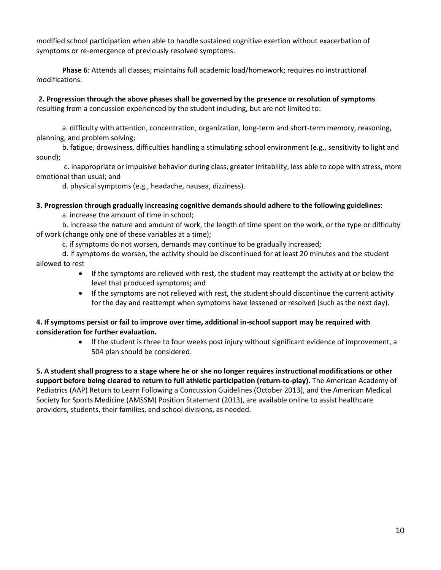modified school participation when able to handle sustained cognitive exertion without exacerbation of symptoms or re-emergence of previously resolved symptoms.

**Phase 6**: Attends all classes; maintains full academic load/homework; requires no instructional modifications.

# **2. Progression through the above phases shall be governed by the presence or resolution of symptoms**

resulting from a concussion experienced by the student including, but are not limited to:

a. difficulty with attention, concentration, organization, long-term and short-term memory, reasoning, planning, and problem solving;

b. fatigue, drowsiness, difficulties handling a stimulating school environment (e.g., sensitivity to light and sound);

c. inappropriate or impulsive behavior during class, greater irritability, less able to cope with stress, more emotional than usual; and

d. physical symptoms (e.g., headache, nausea, dizziness).

### **3. Progression through gradually increasing cognitive demands should adhere to the following guidelines:**

a. increase the amount of time in school;

b. increase the nature and amount of work, the length of time spent on the work, or the type or difficulty of work (change only one of these variables at a time);

c. if symptoms do not worsen, demands may continue to be gradually increased;

d. if symptoms do worsen, the activity should be discontinued for at least 20 minutes and the student allowed to rest

- If the symptoms are relieved with rest, the student may reattempt the activity at or below the level that produced symptoms; and
- If the symptoms are not relieved with rest, the student should discontinue the current activity for the day and reattempt when symptoms have lessened or resolved (such as the next day).

# **4. If symptoms persist or fail to improve over time, additional in-school support may be required with consideration for further evaluation.**

 If the student is three to four weeks post injury without significant evidence of improvement, a 504 plan should be considered.

**5. A student shall progress to a stage where he or she no longer requires instructional modifications or other support before being cleared to return to full athletic participation (return-to-play).** The American Academy of Pediatrics (AAP) Return to Learn Following a Concussion Guidelines (October 2013), and the American Medical Society for Sports Medicine (AMSSM) Position Statement (2013), are available online to assist healthcare providers, students, their families, and school divisions, as needed.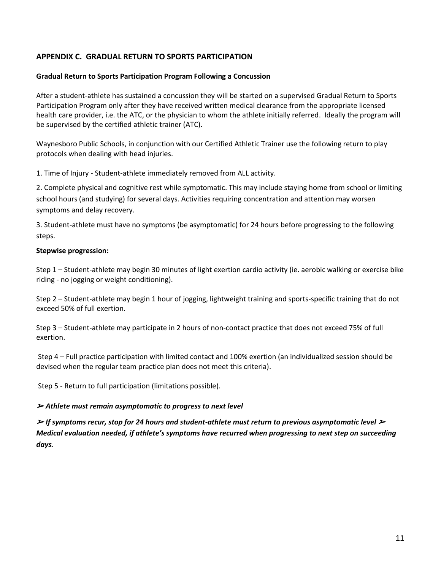# **APPENDIX C. GRADUAL RETURN TO SPORTS PARTICIPATION**

### **Gradual Return to Sports Participation Program Following a Concussion**

After a student-athlete has sustained a concussion they will be started on a supervised Gradual Return to Sports Participation Program only after they have received written medical clearance from the appropriate licensed health care provider, i.e. the ATC, or the physician to whom the athlete initially referred. Ideally the program will be supervised by the certified athletic trainer (ATC).

Waynesboro Public Schools, in conjunction with our Certified Athletic Trainer use the following return to play protocols when dealing with head injuries.

1. Time of Injury - Student-athlete immediately removed from ALL activity.

2. Complete physical and cognitive rest while symptomatic. This may include staying home from school or limiting school hours (and studying) for several days. Activities requiring concentration and attention may worsen symptoms and delay recovery.

3. Student-athlete must have no symptoms (be asymptomatic) for 24 hours before progressing to the following steps.

### **Stepwise progression:**

Step 1 – Student-athlete may begin 30 minutes of light exertion cardio activity (ie. aerobic walking or exercise bike riding - no jogging or weight conditioning).

Step 2 – Student-athlete may begin 1 hour of jogging, lightweight training and sports-specific training that do not exceed 50% of full exertion.

Step 3 – Student-athlete may participate in 2 hours of non-contact practice that does not exceed 75% of full exertion.

Step 4 – Full practice participation with limited contact and 100% exertion (an individualized session should be devised when the regular team practice plan does not meet this criteria).

Step 5 - Return to full participation (limitations possible).

# ➢ *Athlete must remain asymptomatic to progress to next level*

➢ *If symptoms recur, stop for 24 hours and student-athlete must return to previous asymptomatic level* ➢ *Medical evaluation needed, if athlete's symptoms have recurred when progressing to next step on succeeding days.*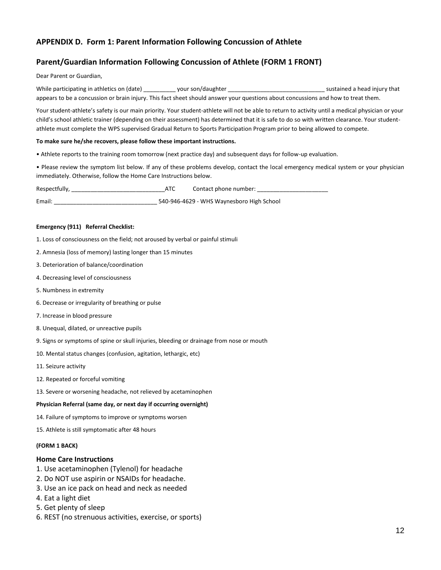# **APPENDIX D. Form 1: Parent Information Following Concussion of Athlete**

### **Parent/Guardian Information Following Concussion of Athlete (FORM 1 FRONT)**

Dear Parent or Guardian,

While participating in athletics on (date)  $your son/day$ ther  $y'$  is the son-of daughter  $y'$  sustained a head injury that appears to be a concussion or brain injury. This fact sheet should answer your questions about concussions and how to treat them.

Your student-athlete's safety is our main priority. Your student-athlete will not be able to return to activity until a medical physician or your child's school athletic trainer (depending on their assessment) has determined that it is safe to do so with written clearance. Your studentathlete must complete the WPS supervised Gradual Return to Sports Participation Program prior to being allowed to compete.

#### **To make sure he/she recovers, please follow these important instructions.**

• Athlete reports to the training room tomorrow (next practice day) and subsequent days for follow-up evaluation.

• Please review the symptom list below. If any of these problems develop, contact the local emergency medical system or your physician immediately. Otherwise, follow the Home Care Instructions below.

Respectfully, \_\_\_\_\_\_\_\_\_\_\_\_\_\_\_\_\_\_\_\_\_\_\_\_\_\_\_\_\_ATC Contact phone number: \_\_\_\_\_\_\_\_\_\_\_\_\_\_\_\_\_\_\_\_\_\_ Email: \_\_\_\_\_\_\_\_\_\_\_\_\_\_\_\_\_\_\_\_\_\_\_\_\_\_\_\_\_\_\_\_ 540-946-4629 - WHS Waynesboro High School

#### **Emergency (911) Referral Checklist:**

- 1. Loss of consciousness on the field; not aroused by verbal or painful stimuli
- 2. Amnesia (loss of memory) lasting longer than 15 minutes
- 3. Deterioration of balance/coordination
- 4. Decreasing level of consciousness
- 5. Numbness in extremity
- 6. Decrease or irregularity of breathing or pulse
- 7. Increase in blood pressure
- 8. Unequal, dilated, or unreactive pupils
- 9. Signs or symptoms of spine or skull injuries, bleeding or drainage from nose or mouth
- 10. Mental status changes (confusion, agitation, lethargic, etc)
- 11. Seizure activity
- 12. Repeated or forceful vomiting
- 13. Severe or worsening headache, not relieved by acetaminophen

#### **Physician Referral (same day, or next day if occurring overnight)**

- 14. Failure of symptoms to improve or symptoms worsen
- 15. Athlete is still symptomatic after 48 hours

#### **(FORM 1 BACK)**

#### **Home Care Instructions**

- 1. Use acetaminophen (Tylenol) for headache
- 2. Do NOT use aspirin or NSAIDs for headache.
- 3. Use an ice pack on head and neck as needed
- 4. Eat a light diet
- 5. Get plenty of sleep
- 6. REST (no strenuous activities, exercise, or sports)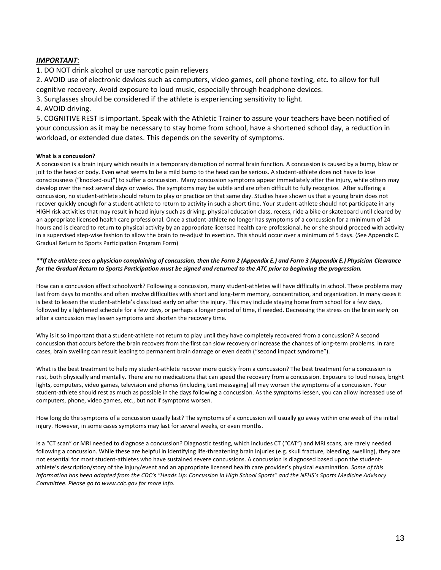### *IMPORTANT*:

1. DO NOT drink alcohol or use narcotic pain relievers

2. AVOID use of electronic devices such as computers, video games, cell phone texting, etc. to allow for full cognitive recovery. Avoid exposure to loud music, especially through headphone devices.

3. Sunglasses should be considered if the athlete is experiencing sensitivity to light.

4. AVOID driving.

5. COGNITIVE REST is important. Speak with the Athletic Trainer to assure your teachers have been notified of your concussion as it may be necessary to stay home from school, have a shortened school day, a reduction in workload, or extended due dates. This depends on the severity of symptoms.

#### **What is a concussion?**

A concussion is a brain injury which results in a temporary disruption of normal brain function. A concussion is caused by a bump, blow or jolt to the head or body. Even what seems to be a mild bump to the head can be serious. A student-athlete does not have to lose consciousness ("knocked-out") to suffer a concussion. Many concussion symptoms appear immediately after the injury, while others may develop over the next several days or weeks. The symptoms may be subtle and are often difficult to fully recognize. After suffering a concussion, no student-athlete should return to play or practice on that same day. Studies have shown us that a young brain does not recover quickly enough for a student-athlete to return to activity in such a short time. Your student-athlete should not participate in any HIGH risk activities that may result in head injury such as driving, physical education class, recess, ride a bike or skateboard until cleared by an appropriate licensed health care professional. Once a student-athlete no longer has symptoms of a concussion for a minimum of 24 hours and is cleared to return to physical activity by an appropriate licensed health care professional, he or she should proceed with activity in a supervised step-wise fashion to allow the brain to re-adjust to exertion. This should occur over a minimum of 5 days. (See Appendix C. Gradual Return to Sports Participation Program Form)

#### *\*\*If the athlete sees a physician complaining of concussion, then the Form 2 (Appendix E.) and Form 3 (Appendix E.) Physician Clearance for the Gradual Return to Sports Participation must be signed and returned to the ATC prior to beginning the progression.*

How can a concussion affect schoolwork? Following a concussion, many student-athletes will have difficulty in school. These problems may last from days to months and often involve difficulties with short and long-term memory, concentration, and organization. In many cases it is best to lessen the student-athlete's class load early on after the injury. This may include staying home from school for a few days, followed by a lightened schedule for a few days, or perhaps a longer period of time, if needed. Decreasing the stress on the brain early on after a concussion may lessen symptoms and shorten the recovery time.

Why is it so important that a student-athlete not return to play until they have completely recovered from a concussion? A second concussion that occurs before the brain recovers from the first can slow recovery or increase the chances of long-term problems. In rare cases, brain swelling can result leading to permanent brain damage or even death ("second impact syndrome").

What is the best treatment to help my student-athlete recover more quickly from a concussion? The best treatment for a concussion is rest, both physically and mentally. There are no medications that can speed the recovery from a concussion. Exposure to loud noises, bright lights, computers, video games, television and phones (including text messaging) all may worsen the symptoms of a concussion. Your student-athlete should rest as much as possible in the days following a concussion. As the symptoms lessen, you can allow increased use of computers, phone, video games, etc., but not if symptoms worsen.

How long do the symptoms of a concussion usually last? The symptoms of a concussion will usually go away within one week of the initial injury. However, in some cases symptoms may last for several weeks, or even months.

Is a "CT scan" or MRI needed to diagnose a concussion? Diagnostic testing, which includes CT ("CAT") and MRI scans, are rarely needed following a concussion. While these are helpful in identifying life-threatening brain injuries (e.g. skull fracture, bleeding, swelling), they are not essential for most student-athletes who have sustained severe concussions. A concussion is diagnosed based upon the studentathlete's description/story of the injury/event and an appropriate licensed health care provider's physical examination. *Some of this information has been adapted from the CDC's "Heads Up: Concussion in High School Sports" and the NFHS's Sports Medicine Advisory Committee. Please go to www.cdc.gov for more info.*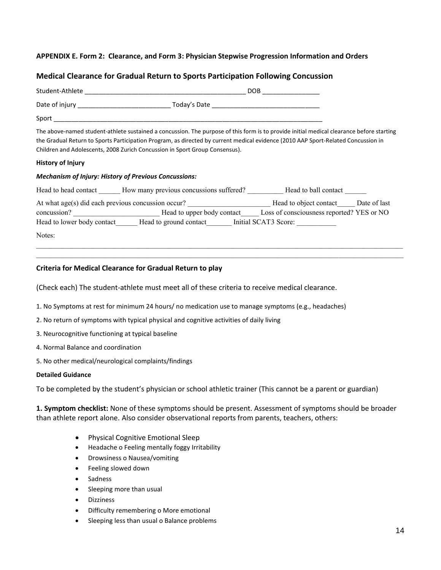### **APPENDIX E. Form 2: Clearance, and Form 3: Physician Stepwise Progression Information and Orders**

### **Medical Clearance for Gradual Return to Sports Participation Following Concussion**

| Student-Athlete |              | <b>DOB</b> |
|-----------------|--------------|------------|
| Date of injury  | Today's Date |            |
| Sport           |              |            |

The above-named student-athlete sustained a concussion. The purpose of this form is to provide initial medical clearance before starting the Gradual Return to Sports Participation Program, as directed by current medical evidence (2010 AAP Sport-Related Concussion in Children and Adolescents, 2008 Zurich Concussion in Sport Group Consensus).

#### **History of Injury**

#### *Mechanism of Injury: History of Previous Concussions:*

| Head to head contact                               | How many previous concussions suffered? | Head to ball contact                      |
|----------------------------------------------------|-----------------------------------------|-------------------------------------------|
| At what age(s) did each previous concussion occur? |                                         | Head to object contact<br>Date of last    |
| concussion?                                        | Head to upper body contact              | Loss of consciousness reported? YES or NO |
| Head to lower body contact                         | Head to ground contact                  | Initial SCAT3 Score:                      |
| Notes:                                             |                                         |                                           |

 $\mathcal{L}_\text{max} = \frac{1}{2} \sum_{i=1}^n \mathcal{L}_\text{max} = \frac{1}{2} \sum_{i=1}^n \mathcal{L}_\text{max} = \frac{1}{2} \sum_{i=1}^n \mathcal{L}_\text{max} = \frac{1}{2} \sum_{i=1}^n \mathcal{L}_\text{max} = \frac{1}{2} \sum_{i=1}^n \mathcal{L}_\text{max} = \frac{1}{2} \sum_{i=1}^n \mathcal{L}_\text{max} = \frac{1}{2} \sum_{i=1}^n \mathcal{L}_\text{max} = \frac{1}{2} \sum_{i=$ 

### **Criteria for Medical Clearance for Gradual Return to play**

(Check each) The student-athlete must meet all of these criteria to receive medical clearance.

- 1. No Symptoms at rest for minimum 24 hours/ no medication use to manage symptoms (e.g., headaches)
- 2. No return of symptoms with typical physical and cognitive activities of daily living
- 3. Neurocognitive functioning at typical baseline
- 4. Normal Balance and coordination
- 5. No other medical/neurological complaints/findings

#### **Detailed Guidance**

To be completed by the student's physician or school athletic trainer (This cannot be a parent or guardian)

**1. Symptom checklist:** None of these symptoms should be present. Assessment of symptoms should be broader than athlete report alone. Also consider observational reports from parents, teachers, others:

- Physical Cognitive Emotional Sleep
- Headache o Feeling mentally foggy Irritability
- Drowsiness o Nausea/vomiting
- Feeling slowed down
- Sadness
- Sleeping more than usual
- Dizziness
- Difficulty remembering o More emotional
- Sleeping less than usual o Balance problems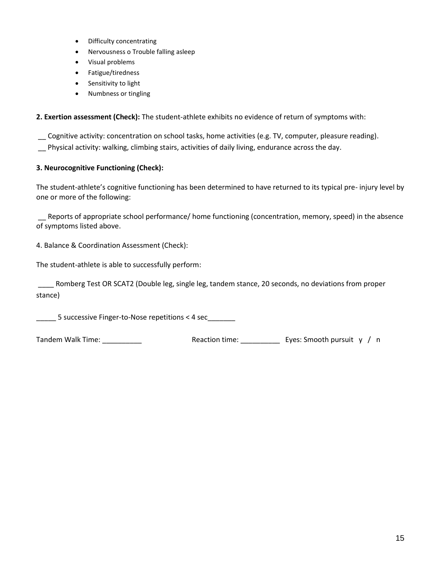- Difficulty concentrating
- Nervousness o Trouble falling asleep
- Visual problems
- Fatigue/tiredness
- Sensitivity to light
- Numbness or tingling

### **2. Exertion assessment (Check):** The student-athlete exhibits no evidence of return of symptoms with:

- \_\_ Cognitive activity: concentration on school tasks, home activities (e.g. TV, computer, pleasure reading).
- \_\_ Physical activity: walking, climbing stairs, activities of daily living, endurance across the day.

### **3. Neurocognitive Functioning (Check):**

The student-athlete's cognitive functioning has been determined to have returned to its typical pre- injury level by one or more of the following:

\_\_ Reports of appropriate school performance/ home functioning (concentration, memory, speed) in the absence of symptoms listed above.

4. Balance & Coordination Assessment (Check):

The student-athlete is able to successfully perform:

\_\_\_\_ Romberg Test OR SCAT2 (Double leg, single leg, tandem stance, 20 seconds, no deviations from proper stance)

\_\_\_\_\_ 5 successive Finger-to-Nose repetitions < 4 sec\_\_\_\_\_\_\_

Tandem Walk Time: \_\_\_\_\_\_\_\_\_\_ Reaction time: \_\_\_\_\_\_\_\_\_\_ Eyes: Smooth pursuit y / n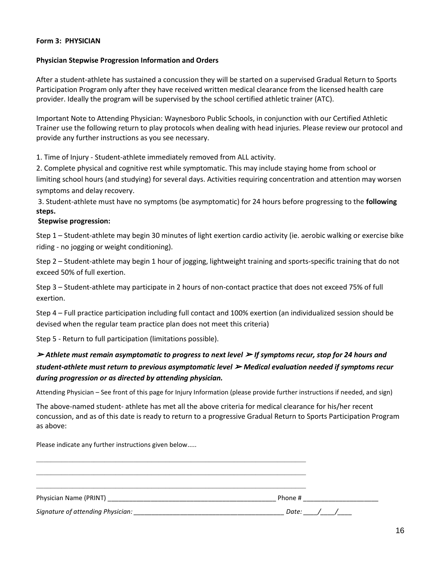### **Form 3: PHYSICIAN**

### **Physician Stepwise Progression Information and Orders**

After a student-athlete has sustained a concussion they will be started on a supervised Gradual Return to Sports Participation Program only after they have received written medical clearance from the licensed health care provider. Ideally the program will be supervised by the school certified athletic trainer (ATC).

Important Note to Attending Physician: Waynesboro Public Schools, in conjunction with our Certified Athletic Trainer use the following return to play protocols when dealing with head injuries. Please review our protocol and provide any further instructions as you see necessary.

1. Time of Injury - Student-athlete immediately removed from ALL activity.

2. Complete physical and cognitive rest while symptomatic. This may include staying home from school or limiting school hours (and studying) for several days. Activities requiring concentration and attention may worsen symptoms and delay recovery.

3. Student-athlete must have no symptoms (be asymptomatic) for 24 hours before progressing to the **following steps.** 

### **Stepwise progression:**

Step 1 – Student-athlete may begin 30 minutes of light exertion cardio activity (ie. aerobic walking or exercise bike riding - no jogging or weight conditioning).

Step 2 – Student-athlete may begin 1 hour of jogging, lightweight training and sports-specific training that do not exceed 50% of full exertion.

Step 3 – Student-athlete may participate in 2 hours of non-contact practice that does not exceed 75% of full exertion.

Step 4 – Full practice participation including full contact and 100% exertion (an individualized session should be devised when the regular team practice plan does not meet this criteria)

Step 5 - Return to full participation (limitations possible).

# ➢ *Athlete must remain asymptomatic to progress to next level* ➢ *If symptoms recur, stop for 24 hours and student-athlete must return to previous asymptomatic level* ➢ *Medical evaluation needed if symptoms recur during progression or as directed by attending physician.*

Attending Physician – See front of this page for Injury Information (please provide further instructions if needed, and sign)

The above-named student- athlete has met all the above criteria for medical clearance for his/her recent concussion, and as of this date is ready to return to a progressive Gradual Return to Sports Participation Program as above:

Please indicate any further instructions given below.....

| Physician Name (PRINT)            | Phone # |  |
|-----------------------------------|---------|--|
| Signature of attending Physician: | Date:   |  |

 $\mathcal{L}_\text{max}$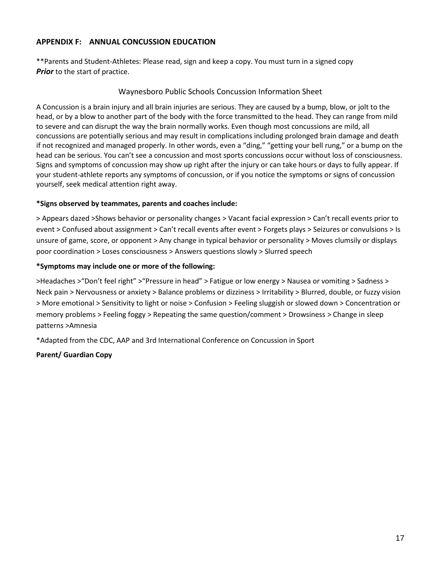# **APPENDIX F: ANNUAL CONCUSSION EDUCATION**

\*\*Parents and Student-Athletes: Please read, sign and keep a copy. You must turn in a signed copy **Prior** to the start of practice.

# Waynesboro Public Schools Concussion Information Sheet

A Concussion is a brain injury and all brain injuries are serious. They are caused by a bump, blow, or jolt to the head, or by a blow to another part of the body with the force transmitted to the head. They can range from mild to severe and can disrupt the way the brain normally works. Even though most concussions are mild, all concussions are potentially serious and may result in complications including prolonged brain damage and death if not recognized and managed properly. In other words, even a "ding," "getting your bell rung," or a bump on the head can be serious. You can't see a concussion and most sports concussions occur without loss of consciousness. Signs and symptoms of concussion may show up right after the injury or can take hours or days to fully appear. If your student-athlete reports any symptoms of concussion, or if you notice the symptoms or signs of concussion yourself, seek medical attention right away.

# **\*Signs observed by teammates, parents and coaches include:**

> Appears dazed >Shows behavior or personality changes > Vacant facial expression > Can't recall events prior to event > Confused about assignment > Can't recall events after event > Forgets plays > Seizures or convulsions > Is unsure of game, score, or opponent > Any change in typical behavior or personality > Moves clumsily or displays poor coordination > Loses consciousness > Answers questions slowly > Slurred speech

# **\*Symptoms may include one or more of the following:**

>Headaches >"Don't feel right" >"Pressure in head" > Fatigue or low energy > Nausea or vomiting > Sadness > Neck pain > Nervousness or anxiety > Balance problems or dizziness > Irritability > Blurred, double, or fuzzy vision > More emotional > Sensitivity to light or noise > Confusion > Feeling sluggish or slowed down > Concentration or memory problems > Feeling foggy > Repeating the same question/comment > Drowsiness > Change in sleep patterns >Amnesia

\*Adapted from the CDC, AAP and 3rd International Conference on Concussion in Sport

**Parent/ Guardian Copy**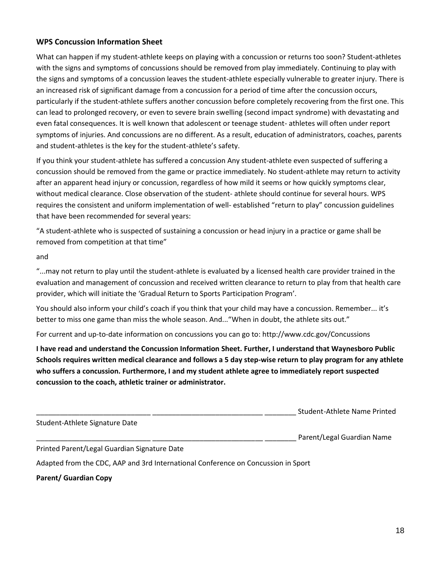# **WPS Concussion Information Sheet**

What can happen if my student-athlete keeps on playing with a concussion or returns too soon? Student-athletes with the signs and symptoms of concussions should be removed from play immediately. Continuing to play with the signs and symptoms of a concussion leaves the student-athlete especially vulnerable to greater injury. There is an increased risk of significant damage from a concussion for a period of time after the concussion occurs, particularly if the student-athlete suffers another concussion before completely recovering from the first one. This can lead to prolonged recovery, or even to severe brain swelling (second impact syndrome) with devastating and even fatal consequences. It is well known that adolescent or teenage student- athletes will often under report symptoms of injuries. And concussions are no different. As a result, education of administrators, coaches, parents and student-athletes is the key for the student-athlete's safety.

If you think your student-athlete has suffered a concussion Any student-athlete even suspected of suffering a concussion should be removed from the game or practice immediately. No student-athlete may return to activity after an apparent head injury or concussion, regardless of how mild it seems or how quickly symptoms clear, without medical clearance. Close observation of the student- athlete should continue for several hours. WPS requires the consistent and uniform implementation of well- established "return to play" concussion guidelines that have been recommended for several years:

"A student-athlete who is suspected of sustaining a concussion or head injury in a practice or game shall be removed from competition at that time"

### and

"...may not return to play until the student-athlete is evaluated by a licensed health care provider trained in the evaluation and management of concussion and received written clearance to return to play from that health care provider, which will initiate the 'Gradual Return to Sports Participation Program'.

You should also inform your child's coach if you think that your child may have a concussion. Remember... it's better to miss one game than miss the whole season. And..."When in doubt, the athlete sits out."

For current and up-to-date information on concussions you can go to: http://www.cdc.gov/Concussions

**I have read and understand the Concussion Information Sheet. Further, I understand that Waynesboro Public Schools requires written medical clearance and follows a 5 day step-wise return to play program for any athlete who suffers a concussion. Furthermore, I and my student athlete agree to immediately report suspected concussion to the coach, athletic trainer or administrator.**

|                                                                                   | Student-Athlete Name Printed |
|-----------------------------------------------------------------------------------|------------------------------|
| Student-Athlete Signature Date                                                    |                              |
|                                                                                   | Parent/Legal Guardian Name   |
| Printed Parent/Legal Guardian Signature Date                                      |                              |
| Adapted from the CDC, AAP and 3rd International Conference on Concussion in Sport |                              |

**Parent/ Guardian Copy**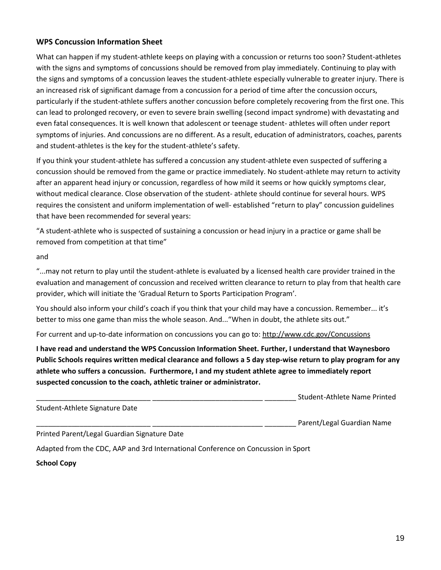# **WPS Concussion Information Sheet**

What can happen if my student-athlete keeps on playing with a concussion or returns too soon? Student-athletes with the signs and symptoms of concussions should be removed from play immediately. Continuing to play with the signs and symptoms of a concussion leaves the student-athlete especially vulnerable to greater injury. There is an increased risk of significant damage from a concussion for a period of time after the concussion occurs, particularly if the student-athlete suffers another concussion before completely recovering from the first one. This can lead to prolonged recovery, or even to severe brain swelling (second impact syndrome) with devastating and even fatal consequences. It is well known that adolescent or teenage student- athletes will often under report symptoms of injuries. And concussions are no different. As a result, education of administrators, coaches, parents and student-athletes is the key for the student-athlete's safety.

If you think your student-athlete has suffered a concussion any student-athlete even suspected of suffering a concussion should be removed from the game or practice immediately. No student-athlete may return to activity after an apparent head injury or concussion, regardless of how mild it seems or how quickly symptoms clear, without medical clearance. Close observation of the student- athlete should continue for several hours. WPS requires the consistent and uniform implementation of well- established "return to play" concussion guidelines that have been recommended for several years:

"A student-athlete who is suspected of sustaining a concussion or head injury in a practice or game shall be removed from competition at that time"

### and

"...may not return to play until the student-athlete is evaluated by a licensed health care provider trained in the evaluation and management of concussion and received written clearance to return to play from that health care provider, which will initiate the 'Gradual Return to Sports Participation Program'.

You should also inform your child's coach if you think that your child may have a concussion. Remember... it's better to miss one game than miss the whole season. And..."When in doubt, the athlete sits out."

For current and up-to-date information on concussions you can go to: http://www.cdc.gov/Concussions

**I have read and understand the WPS Concussion Information Sheet. Further, I understand that Waynesboro Public Schools requires written medical clearance and follows a 5 day step-wise return to play program for any athlete who suffers a concussion. Furthermore, I and my student athlete agree to immediately report suspected concussion to the coach, athletic trainer or administrator.**

\_\_\_\_\_\_\_\_\_\_\_\_\_\_\_\_\_\_\_\_\_\_\_\_\_\_\_\_\_ \_\_\_\_\_\_\_\_\_\_\_\_\_\_\_\_\_\_\_\_\_\_\_\_\_\_\_\_ \_\_\_\_\_\_\_\_ Student-Athlete Name Printed

Student-Athlete Signature Date

Parent/Legal Guardian Name

Printed Parent/Legal Guardian Signature Date

Adapted from the CDC, AAP and 3rd International Conference on Concussion in Sport

**School Copy**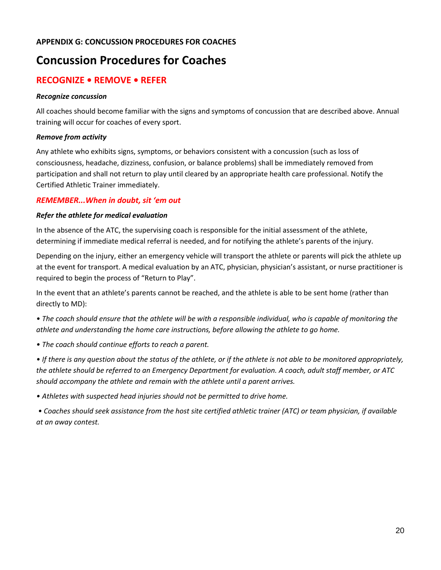# **Concussion Procedures for Coaches**

# **RECOGNIZE • REMOVE • REFER**

### *Recognize concussion*

All coaches should become familiar with the signs and symptoms of concussion that are described above. Annual training will occur for coaches of every sport.

# *Remove from activity*

Any athlete who exhibits signs, symptoms, or behaviors consistent with a concussion (such as loss of consciousness, headache, dizziness, confusion, or balance problems) shall be immediately removed from participation and shall not return to play until cleared by an appropriate health care professional. Notify the Certified Athletic Trainer immediately.

# *REMEMBER...When in doubt, sit 'em out*

# *Refer the athlete for medical evaluation*

In the absence of the ATC, the supervising coach is responsible for the initial assessment of the athlete, determining if immediate medical referral is needed, and for notifying the athlete's parents of the injury.

Depending on the injury, either an emergency vehicle will transport the athlete or parents will pick the athlete up at the event for transport. A medical evaluation by an ATC, physician, physician's assistant, or nurse practitioner is required to begin the process of "Return to Play".

In the event that an athlete's parents cannot be reached, and the athlete is able to be sent home (rather than directly to MD):

*• The coach should ensure that the athlete will be with a responsible individual, who is capable of monitoring the athlete and understanding the home care instructions, before allowing the athlete to go home.*

*• The coach should continue efforts to reach a parent.*

*• If there is any question about the status of the athlete, or if the athlete is not able to be monitored appropriately, the athlete should be referred to an Emergency Department for evaluation. A coach, adult staff member, or ATC should accompany the athlete and remain with the athlete until a parent arrives.*

*• Athletes with suspected head injuries should not be permitted to drive home.*

*• Coaches should seek assistance from the host site certified athletic trainer (ATC) or team physician, if available at an away contest.*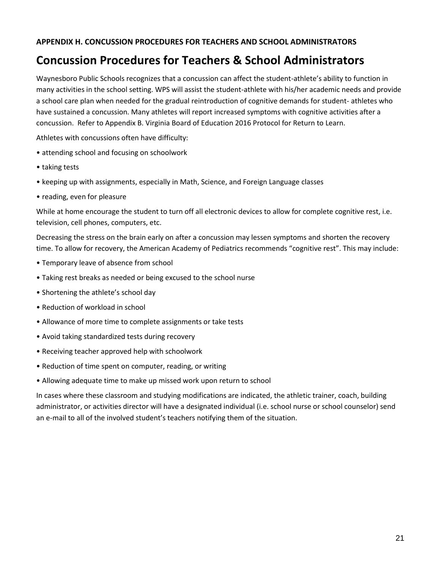# **APPENDIX H. CONCUSSION PROCEDURES FOR TEACHERS AND SCHOOL ADMINISTRATORS**

# **Concussion Procedures for Teachers & School Administrators**

Waynesboro Public Schools recognizes that a concussion can affect the student-athlete's ability to function in many activities in the school setting. WPS will assist the student-athlete with his/her academic needs and provide a school care plan when needed for the gradual reintroduction of cognitive demands for student- athletes who have sustained a concussion. Many athletes will report increased symptoms with cognitive activities after a concussion. Refer to Appendix B. Virginia Board of Education 2016 Protocol for Return to Learn.

Athletes with concussions often have difficulty:

- attending school and focusing on schoolwork
- taking tests
- keeping up with assignments, especially in Math, Science, and Foreign Language classes
- reading, even for pleasure

While at home encourage the student to turn off all electronic devices to allow for complete cognitive rest, i.e. television, cell phones, computers, etc.

Decreasing the stress on the brain early on after a concussion may lessen symptoms and shorten the recovery time. To allow for recovery, the American Academy of Pediatrics recommends "cognitive rest". This may include:

- Temporary leave of absence from school
- Taking rest breaks as needed or being excused to the school nurse
- Shortening the athlete's school day
- Reduction of workload in school
- Allowance of more time to complete assignments or take tests
- Avoid taking standardized tests during recovery
- Receiving teacher approved help with schoolwork
- Reduction of time spent on computer, reading, or writing
- Allowing adequate time to make up missed work upon return to school

In cases where these classroom and studying modifications are indicated, the athletic trainer, coach, building administrator, or activities director will have a designated individual (i.e. school nurse or school counselor) send an e-mail to all of the involved student's teachers notifying them of the situation.